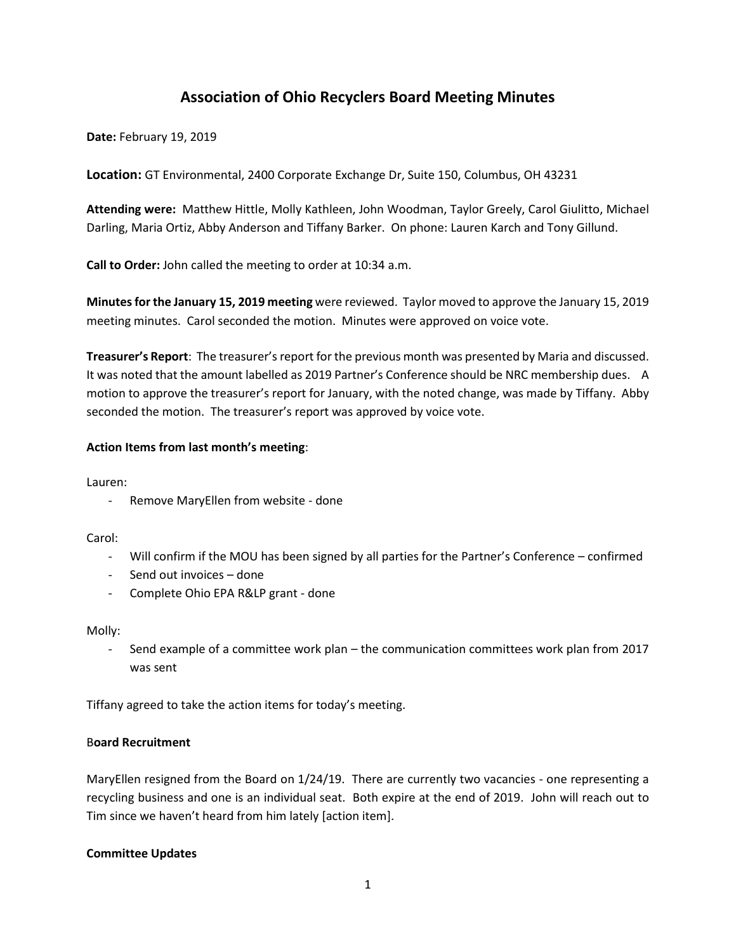# **Association of Ohio Recyclers Board Meeting Minutes**

**Date:** February 19, 2019

**Location:** GT Environmental, 2400 Corporate Exchange Dr, Suite 150, Columbus, OH 43231

**Attending were:** Matthew Hittle, Molly Kathleen, John Woodman, Taylor Greely, Carol Giulitto, Michael Darling, Maria Ortiz, Abby Anderson and Tiffany Barker. On phone: Lauren Karch and Tony Gillund.

**Call to Order:** John called the meeting to order at 10:34 a.m.

**Minutes for the January 15, 2019 meeting** were reviewed. Taylor moved to approve the January 15, 2019 meeting minutes. Carol seconded the motion. Minutes were approved on voice vote.

**Treasurer's Report**: The treasurer's report for the previous month was presented by Maria and discussed. It was noted that the amount labelled as 2019 Partner's Conference should be NRC membership dues. A motion to approve the treasurer's report for January, with the noted change, was made by Tiffany. Abby seconded the motion. The treasurer's report was approved by voice vote.

### **Action Items from last month's meeting**:

Lauren:

- Remove MaryEllen from website - done

Carol:

- Will confirm if the MOU has been signed by all parties for the Partner's Conference confirmed
- Send out invoices done
- Complete Ohio EPA R&LP grant done

Molly:

- Send example of a committee work plan – the communication committees work plan from 2017 was sent

Tiffany agreed to take the action items for today's meeting.

## B**oard Recruitment**

MaryEllen resigned from the Board on 1/24/19. There are currently two vacancies - one representing a recycling business and one is an individual seat. Both expire at the end of 2019. John will reach out to Tim since we haven't heard from him lately [action item].

### **Committee Updates**